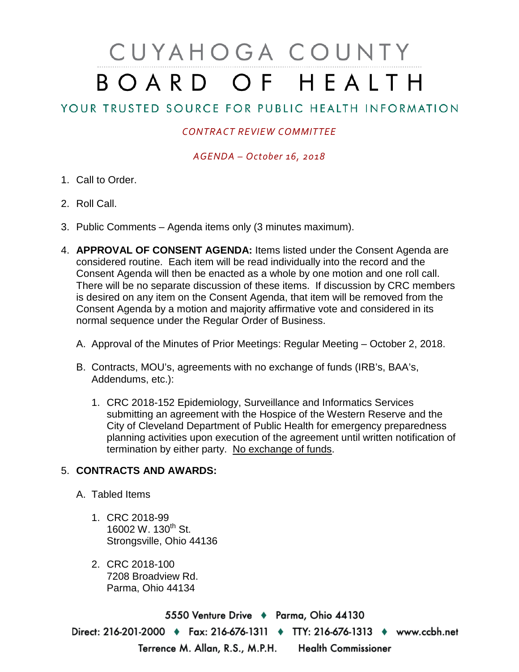# CUYAHOGA COUNTY BOARD OF HEALTH

# YOUR TRUSTED SOURCE FOR PUBLIC HEALTH INFORMATION

## *CONTRACT REVIEW COMMITTEE*

### *AGENDA – October 16, 2018*

- 1. Call to Order.
- 2. Roll Call.
- 3. Public Comments Agenda items only (3 minutes maximum).
- 4. **APPROVAL OF CONSENT AGENDA:** Items listed under the Consent Agenda are considered routine. Each item will be read individually into the record and the Consent Agenda will then be enacted as a whole by one motion and one roll call. There will be no separate discussion of these items. If discussion by CRC members is desired on any item on the Consent Agenda, that item will be removed from the Consent Agenda by a motion and majority affirmative vote and considered in its normal sequence under the Regular Order of Business.
	- A. Approval of the Minutes of Prior Meetings: Regular Meeting October 2, 2018.
	- B. Contracts, MOU's, agreements with no exchange of funds (IRB's, BAA's, Addendums, etc.):
		- 1. CRC 2018-152 Epidemiology, Surveillance and Informatics Services submitting an agreement with the Hospice of the Western Reserve and the City of Cleveland Department of Public Health for emergency preparedness planning activities upon execution of the agreement until written notification of termination by either party. No exchange of funds.

#### 5. **CONTRACTS AND AWARDS:**

- A. Tabled Items
	- 1. CRC 2018-99 16002 W. 130<sup>th</sup> St. Strongsville, Ohio 44136
	- 2. CRC 2018-100 7208 Broadview Rd. Parma, Ohio 44134

5550 Venture Drive + Parma, Ohio 44130 Direct: 216-201-2000 • Fax: 216-676-1311 • TTY: 216-676-1313 • www.ccbh.net Terrence M. Allan, R.S., M.P.H. Health Commissioner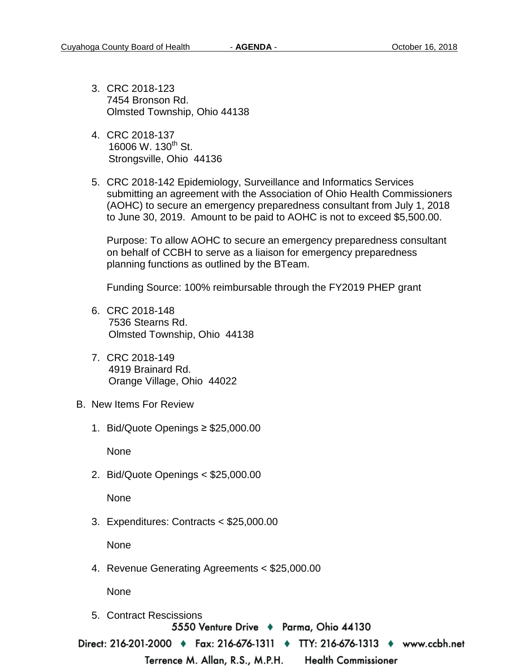- 3. CRC 2018-123 7454 Bronson Rd. Olmsted Township, Ohio 44138
- 4. CRC 2018-137 16006 W. 130<sup>th</sup> St. Strongsville, Ohio 44136
- 5. CRC 2018-142 Epidemiology, Surveillance and Informatics Services submitting an agreement with the Association of Ohio Health Commissioners (AOHC) to secure an emergency preparedness consultant from July 1, 2018 to June 30, 2019. Amount to be paid to AOHC is not to exceed \$5,500.00.

Purpose: To allow AOHC to secure an emergency preparedness consultant on behalf of CCBH to serve as a liaison for emergency preparedness planning functions as outlined by the BTeam.

Funding Source: 100% reimbursable through the FY2019 PHEP grant

- 6. CRC 2018-148 7536 Stearns Rd. Olmsted Township, Ohio 44138
- 7. CRC 2018-149 4919 Brainard Rd. Orange Village, Ohio 44022
- B. New Items For Review
	- 1. Bid/Quote Openings ≥ \$25,000.00

None

2. Bid/Quote Openings < \$25,000.00

None

3. Expenditures: Contracts < \$25,000.00

None

4. Revenue Generating Agreements < \$25,000.00

None

5. Contract Rescissions5550 Venture Drive + Parma, Ohio 44130

Direct: 216-201-2000 ♦ Fax: 216-676-1311 ♦ TTY: 216-676-1313 ♦ www.ccbh.net

Terrence M. Allan, R.S., M.P.H.

**Health Commissioner**